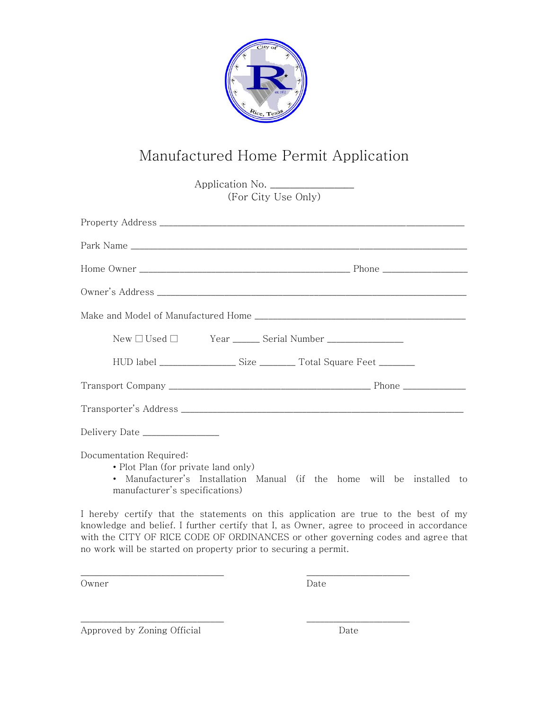

## Manufactured Home Permit Application

| Application No.                                                                                  |                                                                        |
|--------------------------------------------------------------------------------------------------|------------------------------------------------------------------------|
| (For City Use Only)                                                                              |                                                                        |
|                                                                                                  |                                                                        |
|                                                                                                  |                                                                        |
|                                                                                                  |                                                                        |
|                                                                                                  |                                                                        |
|                                                                                                  |                                                                        |
|                                                                                                  |                                                                        |
|                                                                                                  |                                                                        |
|                                                                                                  |                                                                        |
|                                                                                                  |                                                                        |
| Delivery Date _________________                                                                  |                                                                        |
| Documentation Required:<br>• Plot Plan (for private land only)<br>manufacturer's specifications) | • Manufacturer's Installation Manual (if the home will be installed to |

I hereby certify that the statements on this application are true to the best of my knowledge and belief. I further certify that I, as Owner, agree to proceed in accordance with the CITY OF RICE CODE OF ORDINANCES or other governing codes and agree that no work will be started on property prior to securing a permit.

\_\_\_\_\_\_\_\_\_\_\_\_\_\_\_\_\_\_\_\_\_\_\_\_\_\_\_\_\_\_\_\_ \_\_\_\_\_\_\_\_\_\_\_\_\_\_\_\_\_\_\_\_\_\_\_

\_\_\_\_\_\_\_\_\_\_\_\_\_\_\_\_\_\_\_\_\_\_\_\_\_\_\_\_\_\_\_\_ \_\_\_\_\_\_\_\_\_\_\_\_\_\_\_\_\_\_\_\_\_\_\_

Owner Date

Approved by Zoning Official Date